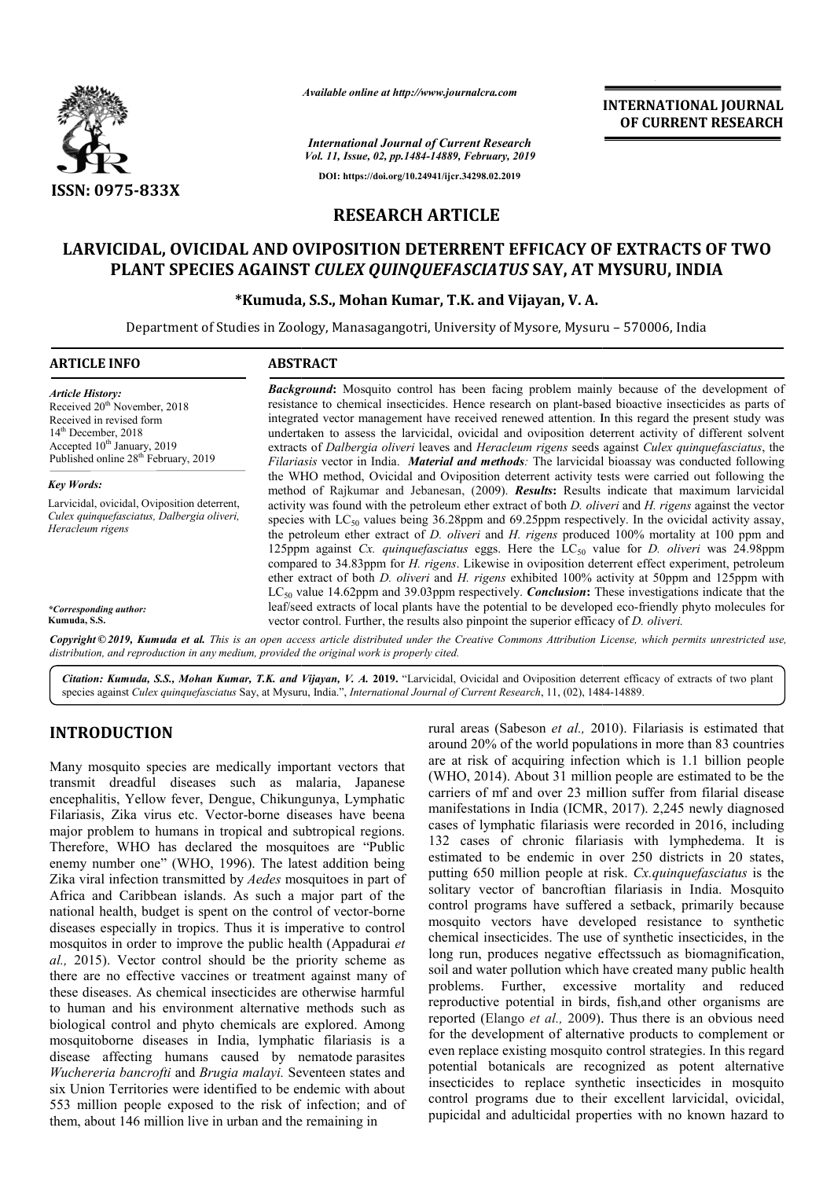

*Available online at http://www.journalcra.com*

*International Journal of Current Research Vol. 11, Issue, 02, pp.1484-14889, February, 2019* **DOI: https://doi.org/10.24941/ijcr.34298.02.2019**

**INTERNATIONAL JOURNAL OF CURRENT RESEARCH**

# **RESEARCH ARTICLE**

# **LARVICIDAL, OVICIDAL AND OVIPOSITION DETERRENT EFFICACY OF EXTRACTS OF TWO EXTRACTS PLANT SPECIES AGAINST**  *CULEX QUINQUEFASCIATUS* **SAY, AT MYSURU, INDIA**

## **\*Kumuda Kumuda, S.S., Mohan Kumar, T.K. and Vijayan, V. A.**

Department of Studies in Zoology, Manasagangotri, University of Mysore, Mysuru – 570006, India

| <b>ARTICLE INFO</b>                                                                                                                                                                                                     | <b>ABSTRACT</b>                                                                                                                                                                                                                                                                                                                                                                                                                                                                                                                                                                                                                                                                                                                                                                                                                                                                                                                                                                                                   |
|-------------------------------------------------------------------------------------------------------------------------------------------------------------------------------------------------------------------------|-------------------------------------------------------------------------------------------------------------------------------------------------------------------------------------------------------------------------------------------------------------------------------------------------------------------------------------------------------------------------------------------------------------------------------------------------------------------------------------------------------------------------------------------------------------------------------------------------------------------------------------------------------------------------------------------------------------------------------------------------------------------------------------------------------------------------------------------------------------------------------------------------------------------------------------------------------------------------------------------------------------------|
| <b>Article History:</b><br>Received 20 <sup>th</sup> November, 2018<br>Received in revised form<br>$14th$ December, 2018<br>Accepted 10 <sup>th</sup> January, 2019<br>Published online 28 <sup>th</sup> February, 2019 | <b>Background:</b> Mosquito control has been facing problem mainly because of the development of<br>resistance to chemical insecticides. Hence research on plant-based bioactive insecticides as parts of<br>integrated vector management have received renewed attention. In this regard the present study was<br>undertaken to assess the larvicidal, ovicidal and oviposition deterrent activity of different solvent<br>extracts of <i>Dalbergia oliveri</i> leaves and <i>Heracleum rigens</i> seeds against <i>Culex quinquefasciatus</i> , the<br>Filariasis vector in India. Material and methods: The larvicidal bioassay was conducted following                                                                                                                                                                                                                                                                                                                                                        |
| <b>Key Words:</b>                                                                                                                                                                                                       | the WHO method, Ovicidal and Oviposition deterrent activity tests were carried out following the<br>method of Rajkumar and Jebanesan, (2009). <b>Results:</b> Results indicate that maximum larvicidal                                                                                                                                                                                                                                                                                                                                                                                                                                                                                                                                                                                                                                                                                                                                                                                                            |
| Larvicidal, ovicidal, Oviposition deterrent,<br>Culex quinquefasciatus, Dalbergia oliveri,<br>Heracleum rigens<br>*Corresponding author:<br>Kumuda, S.S.                                                                | activity was found with the petroleum ether extract of both <i>D. oliveri</i> and <i>H. rigens</i> against the vector<br>species with $LC_{50}$ values being 36.28ppm and 69.25ppm respectively. In the ovicidal activity assay,<br>the petroleum ether extract of <i>D. oliveri</i> and <i>H. rigens</i> produced 100% mortality at 100 ppm and<br>125ppm against Cx. quinque fasciatus eggs. Here the $LC_{50}$ value for D. oliveri was 24.98ppm<br>compared to 34.83ppm for <i>H. rigens</i> . Likewise in oviposition deterrent effect experiment, petroleum<br>ether extract of both <i>D. oliveri</i> and <i>H. rigens</i> exhibited 100% activity at 50ppm and 125ppm with<br>$LC_{50}$ value 14.62ppm and 39.03ppm respectively. <i>Conclusion</i> : These investigations indicate that the<br>leaf/seed extracts of local plants have the potential to be developed eco-friendly phyto molecules for<br>vector control. Further, the results also pinpoint the superior efficacy of <i>D. oliveri</i> . |
|                                                                                                                                                                                                                         | Copyright ©2019, Kumuda et al. This is an open access article distributed under the Creative Commons Attribution License, which permits unrestricted use,<br>distribution, and reproduction in any medium, provided the original work is properly cited.                                                                                                                                                                                                                                                                                                                                                                                                                                                                                                                                                                                                                                                                                                                                                          |

Citation: Kumuda, S.S., Mohan Kumar, T.K. and Vijayan, V. A. 2019. "Larvicidal, Ovicidal and Oviposition deterrent efficacy of extracts of two plant Citation: Kumuda, S.S., Mohan Kumar, T.K. and Vijayan, V. A. 2019. "Larvicidal, Ovicidal and Oviposition deterrent efficacy of extracts of species against *Culex quinquefasciatus* Say, at Mysuru, India.", *International Jo* 

## **INTRODUCTION**

Many mosquito species are medically important vectors that transmit dreadful diseases such as malaria, Japanese encephalitis, Yellow fever, Dengue, Chikungunya, Lymphatic Filariasis, Zika virus etc. Vector-borne diseases have beena major problem to humans in tropical and subtropical regions. Therefore, WHO has declared the mosquitoes are "Public enemy number one" (WHO, 1996). The latest addition being Zika viral infection transmitted by *Aedes* mosquitoes in part of Africa and Caribbean islands. As such a major part of the national health, budget is spent on the control of vector-borne diseases especially in tropics. Thus it is imperative to control mosquitos in order to improve the public health (Appadurai *et al.,* 2015). Vector control should be the priority scheme as there are no effective vaccines or treatment against many of these diseases. As chemical insecticides are otherwise harmful to human and his environment alternative methods such as biological control and phyto chemicals are explored. Among mosquitoborne diseases in India, lymphatic filariasis is a disease affecting humans caused by nematode parasites *Wuchereria bancrofti* and *Brugia malayi.* Seventeen states and six Union Territories were identified to be endemic with about 553 million people exposed to the risk of infection; and of them, about 146 million live in urban and the remaining in

rural areas (Sabeson *et al.,* 2010). Filariasis is estimated that around 20% of the world populations in more than 83 countries are at risk of acquiring infection which is 1.1 billion people (WHO, 2014). About 31 million people are estimated to be the carriers of mf and over 23 million suffer from filarial disease manifestations in India (ICMR, 2017). 2,245 newly diagnosed cases of lymphatic filariasis were recorded in 2016, including 132 cases of chronic filariasis with lymphedema. It is estimated to be endemic in over 250 districts in 20 states, putting 650 million people at risk. Cx.quinquefasciatus is the solitary vector of bancroftian filariasis in India. Mosquito control programs have suffered a setback, primarily because mosquito vectors have developed resistance to synthetic chemical insecticides. The use of synthetic insecticides, in the long run, produces negative effectssuch as biomagnification, soil and water pollution which have created many public health problems. Further, excessive mortality and reproductive potential in birds, fish, fish,and other organisms are reported (Elango *et al.,* 2009). ). Thus there is an obvious need for the development of alternative products to complement or even replace existing mosquito control strategies. In this regard potential botanicals are recognized as potent alternative insecticides to replace synthetic insecticides in mosquito control programs due to their excellent larvicidal, pupicidal and adulticidal properties with no known hazard to and 20% of the world populations in more than 83 countries<br>at risk of acquiring infection which is 1.1 billion people<br>IO, 2014). About 31 million people are estimated to be the<br>liers of mf and over 23 million suffer from f of lymphatic filariasis were recorded in 2016, including<br>cases of chronic filariasis with lymphedema. It is<br>tted to be endemic in over 250 districts in 20 states, chemical insecticides. The use of synthetic insecticides, in the<br>long run, produces negative effects uch as biomagnification,<br>soil and water pollution which have created many public health<br>problems. Further, excessive mort for the development of alternative products to complement or even replace existing mosquito control strategies. In this regard potential botanicals are recognized as potent alternative insecticides to replace synthetic ins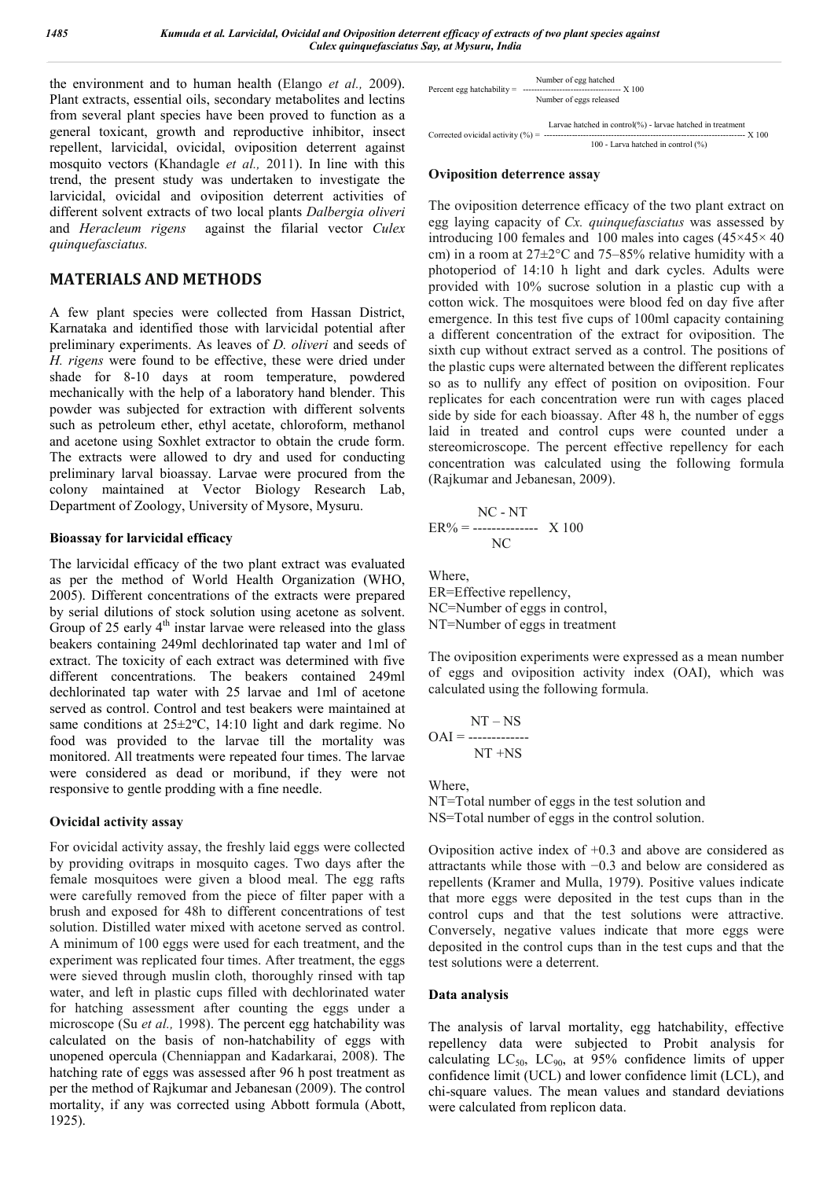the environment and to human health (Elango *et al.,* 2009). Plant extracts, essential oils, secondary metabolites and lectins from several plant species have been proved to function as a general toxicant, growth and reproductive inhibitor, insect repellent, larvicidal, ovicidal, oviposition deterrent against mosquito vectors (Khandagle *et al.,* 2011). In line with this trend, the present study was undertaken to investigate the larvicidal, ovicidal and oviposition deterrent activities of different solvent extracts of two local plants *Dalbergia oliveri* and *Heracleum rigens* against the filarial vector *Culex quinquefasciatus.*

## **MATERIALS AND METHODS**

A few plant species were collected from Hassan District, Karnataka and identified those with larvicidal potential after preliminary experiments. As leaves of *D. oliveri* and seeds of *H. rigens* were found to be effective, these were dried under shade for 8-10 days at room temperature, powdered mechanically with the help of a laboratory hand blender. This powder was subjected for extraction with different solvents such as petroleum ether, ethyl acetate, chloroform, methanol and acetone using Soxhlet extractor to obtain the crude form. The extracts were allowed to dry and used for conducting preliminary larval bioassay. Larvae were procured from the colony maintained at Vector Biology Research Lab, Department of Zoology, University of Mysore, Mysuru.

### **Bioassay for larvicidal efficacy**

The larvicidal efficacy of the two plant extract was evaluated as per the method of World Health Organization (WHO, 2005). Different concentrations of the extracts were prepared by serial dilutions of stock solution using acetone as solvent. Group of 25 early  $4<sup>th</sup>$  instar larvae were released into the glass beakers containing 249ml dechlorinated tap water and 1ml of extract. The toxicity of each extract was determined with five different concentrations. The beakers contained 249ml dechlorinated tap water with 25 larvae and 1ml of acetone served as control. Control and test beakers were maintained at same conditions at  $25\pm2$ °C, 14:10 light and dark regime. No food was provided to the larvae till the mortality was monitored. All treatments were repeated four times. The larvae were considered as dead or moribund, if they were not responsive to gentle prodding with a fine needle.

#### **Ovicidal activity assay**

For ovicidal activity assay, the freshly laid eggs were collected by providing ovitraps in mosquito cages. Two days after the female mosquitoes were given a blood meal. The egg rafts were carefully removed from the piece of filter paper with a brush and exposed for 48h to different concentrations of test solution. Distilled water mixed with acetone served as control. A minimum of 100 eggs were used for each treatment, and the experiment was replicated four times. After treatment, the eggs were sieved through muslin cloth, thoroughly rinsed with tap water, and left in plastic cups filled with dechlorinated water for hatching assessment after counting the eggs under a microscope (Su *et al.,* 1998). The percent egg hatchability was calculated on the basis of non-hatchability of eggs with unopened opercula (Chenniappan and Kadarkarai, 2008). The hatching rate of eggs was assessed after 96 h post treatment as per the method of Rajkumar and Jebanesan (2009). The control mortality, if any was corrected using Abbott formula (Abott, 1925).

| Number of egg hatched<br>Number of eggs released                                                 |
|--------------------------------------------------------------------------------------------------|
| Larvae hatched in control(%) - larvae hatched in treatment<br>100 - Larva hatched in control (%) |

#### **Oviposition deterrence assay**

The oviposition deterrence efficacy of the two plant extract on egg laying capacity of *Cx. quinquefasciatus* was assessed by introducing 100 females and 100 males into cages (45×45× 40 cm) in a room at 27±2°C and 75–85% relative humidity with a photoperiod of 14:10 h light and dark cycles. Adults were provided with 10% sucrose solution in a plastic cup with a cotton wick. The mosquitoes were blood fed on day five after emergence. In this test five cups of 100ml capacity containing a different concentration of the extract for oviposition. The sixth cup without extract served as a control. The positions of the plastic cups were alternated between the different replicates so as to nullify any effect of position on oviposition. Four replicates for each concentration were run with cages placed side by side for each bioassay. After 48 h, the number of eggs laid in treated and control cups were counted under a stereomicroscope. The percent effective repellency for each concentration was calculated using the following formula (Rajkumar and Jebanesan, 2009).

$$
ER\% = \frac{NC - NT}{NC}
$$
 X 100

Where,

ER=Effective repellency, NC=Number of eggs in control, NT=Number of eggs in treatment

The oviposition experiments were expressed as a mean number of eggs and oviposition activity index (OAI), which was calculated using the following formula.

$$
NT - NS
$$

$$
OAI = \frac{NT + NS}{NT + NS}
$$

Where, NT=Total number of eggs in the test solution and NS=Total number of eggs in the control solution.

Oviposition active index of +0.3 and above are considered as attractants while those with −0.3 and below are considered as repellents (Kramer and Mulla, 1979). Positive values indicate that more eggs were deposited in the test cups than in the control cups and that the test solutions were attractive. Conversely, negative values indicate that more eggs were deposited in the control cups than in the test cups and that the test solutions were a deterrent.

#### **Data analysis**

The analysis of larval mortality, egg hatchability, effective repellency data were subjected to Probit analysis for calculating  $LC_{50}$ ,  $LC_{90}$ , at 95% confidence limits of upper confidence limit (UCL) and lower confidence limit (LCL), and chi-square values. The mean values and standard deviations were calculated from replicon data.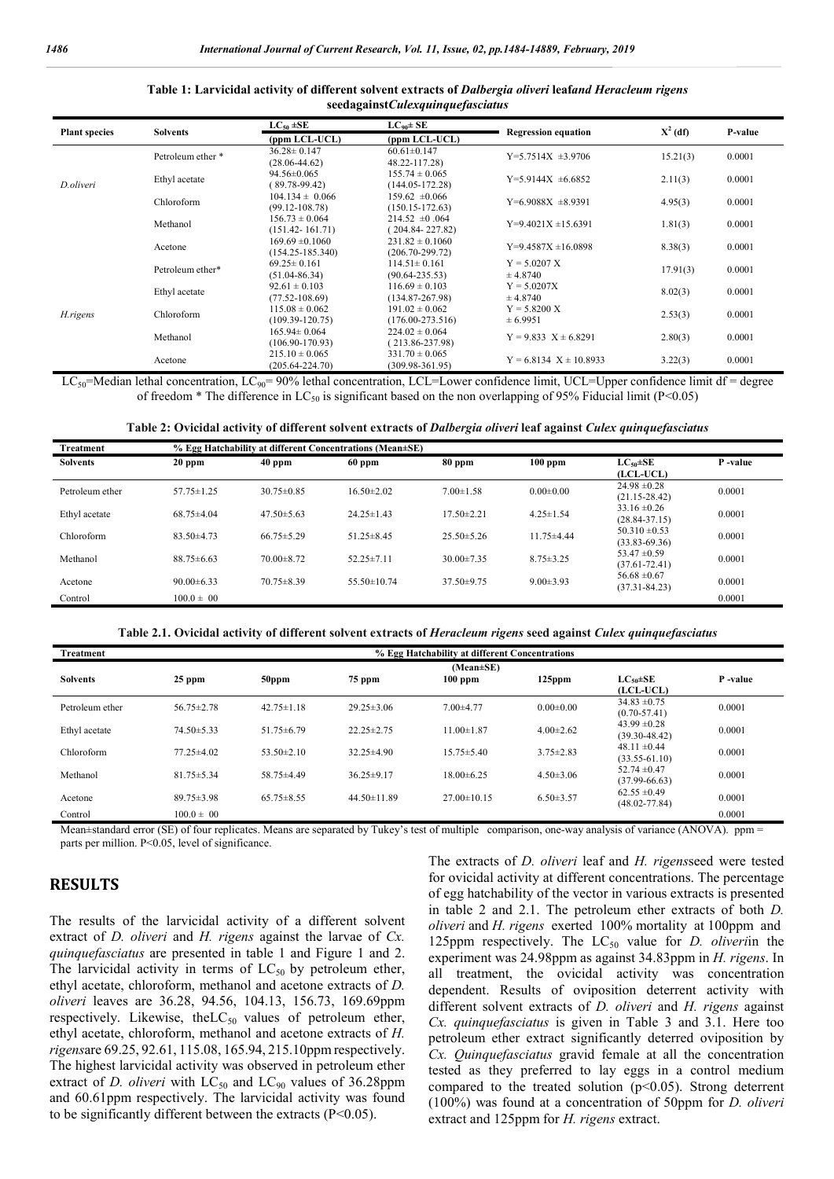#### **Table 1: Larvicidal activity of different solvent extracts of** *Dalbergia oliveri* **leaf***and Heracleum rigens*  **seedagainst***Culexquinquefasciatus*

| <b>Plant species</b> | <b>Solvents</b>   | $LC_{50}$ ±SE        | $LC_{90} \pm SE$     | <b>Regression equation</b>   | $X^2$ (df) | P-value |
|----------------------|-------------------|----------------------|----------------------|------------------------------|------------|---------|
|                      |                   | (ppm LCL-UCL)        | (ppm LCL-UCL)        |                              |            |         |
|                      | Petroleum ether * | $36.28 \pm 0.147$    | $60.61 \pm 0.147$    | $Y=5.7514X \pm 3.9706$       | 15.21(3)   | 0.0001  |
|                      |                   | $(28.06 - 44.62)$    | 48.22-117.28)        |                              |            |         |
|                      | Ethyl acetate     | $94.56 \pm 0.065$    | $155.74 \pm 0.065$   | $Y=5.9144X \pm 6.6852$       | 2.11(3)    | 0.0001  |
| D.oliveri            |                   | $89.78 - 99.42$      | $(144.05 - 172.28)$  |                              |            |         |
|                      | Chloroform        | $104.134 \pm 0.066$  | $159.62 \pm 0.066$   | $Y=6.9088X + 8.9391$         | 4.95(3)    | 0.0001  |
|                      |                   | $(99.12 - 108.78)$   | $(150.15 - 172.63)$  |                              |            |         |
|                      | Methanol          | $156.73 \pm 0.064$   | $214.52 \pm 0.064$   |                              |            | 0.0001  |
|                      |                   | $(151.42 - 161.71)$  | $(204.84 - 227.82)$  | $Y=9.4021X \pm 15.6391$      | 1.81(3)    |         |
|                      |                   | $169.69 \pm 0.1060$  | $231.82 \pm 0.1060$  | $Y=9.4587X \pm 16.0898$      |            | 0.0001  |
|                      | Acetone           | $(154.25 - 185.340)$ | $(206.70 - 299.72)$  |                              | 8.38(3)    |         |
|                      | Petroleum ether*  | $69.25 \pm 0.161$    | $114.51 \pm 0.161$   | $Y = 5.0207 X$               |            |         |
|                      |                   | $(51.04 - 86.34)$    | $(90.64 - 235.53)$   | ± 4.8740                     | 17.91(3)   | 0.0001  |
|                      |                   | $92.61 \pm 0.103$    | $116.69 \pm 0.103$   | $Y = 5.0207X$                |            |         |
|                      | Ethyl acetate     | $(77.52 - 108.69)$   | $(134.87 - 267.98)$  | ± 4.8740                     | 8.02(3)    | 0.0001  |
|                      |                   | $115.08 \pm 0.062$   | $191.02 \pm 0.062$   | $Y = 5.8200 X$               |            |         |
| H.rigens             | Chloroform        | $(109.39 - 120.75)$  | $(176.00 - 273.516)$ | ± 6.9951                     | 2.53(3)    | 0.0001  |
|                      |                   | $165.94 \pm 0.064$   | $224.02 \pm 0.064$   |                              |            |         |
|                      | Methanol          | $(106.90 - 170.93)$  | $(213.86 - 237.98)$  | $Y = 9.833$ $X \pm 6.8291$   | 2.80(3)    | 0.0001  |
|                      |                   | $215.10 \pm 0.065$   | $331.70 \pm 0.065$   |                              |            |         |
|                      | Acetone           | $(205.64 - 224.70)$  | $(309.98-361.95)$    | $Y = 6.8134$ $X \pm 10.8933$ | 3.22(3)    | 0.0001  |

 $LC_{50}$ =Median lethal concentration,  $LC_{90}$ = 90% lethal concentration, LCL=Lower confidence limit, UCL=Upper confidence limit df = degree of freedom \* The difference in LC<sub>50</sub> is significant based on the non overlapping of 95% Fiducial limit (P<0.05)

| Table 2: Ovicidal activity of different solvent extracts of Dalbergia oliveri leaf against Culex quinquefasciatus |  |  |
|-------------------------------------------------------------------------------------------------------------------|--|--|
|                                                                                                                   |  |  |

| Treatment       | % Egg Hatchability at different Concentrations (Mean±SE) |                  |                   |                  |                  |                                          |          |  |  |  |  |  |  |  |
|-----------------|----------------------------------------------------------|------------------|-------------------|------------------|------------------|------------------------------------------|----------|--|--|--|--|--|--|--|
| <b>Solvents</b> | $20$ ppm                                                 | $40$ ppm         | $60$ ppm          | 80 ppm           | $100$ ppm        | $LC$ <sub>50</sub> $\pm$ SE<br>(LCL-UCL) | P -value |  |  |  |  |  |  |  |
| Petroleum ether | $57.75 \pm 1.25$                                         | $30.75 \pm 0.85$ | $16.50 \pm 2.02$  | $7.00 \pm 1.58$  | $0.00 \pm 0.00$  | $24.98 \pm 0.28$<br>$(21.15 - 28.42)$    | 0.0001   |  |  |  |  |  |  |  |
| Ethyl acetate   | $68.75 \pm 4.04$                                         | $47.50 \pm 5.63$ | $24.25 \pm 1.43$  | $17.50 \pm 2.21$ | $4.25 \pm 1.54$  | $33.16 \pm 0.26$<br>$(28.84 - 37.15)$    | 0.0001   |  |  |  |  |  |  |  |
| Chloroform      | $83.50\pm4.73$                                           | $66.75 \pm 5.29$ | 51.25 $\pm$ 8.45  | $25.50\pm5.26$   | $11.75 \pm 4.44$ | $50.310 \pm 0.53$<br>$(33.83 - 69.36)$   | 0.0001   |  |  |  |  |  |  |  |
| Methanol        | $88.75 \pm 6.63$                                         | $70.00 \pm 8.72$ | $52.25 \pm 7.11$  | $30.00 \pm 7.35$ | $8.75 \pm 3.25$  | 53.47 $\pm$ 0.59<br>$(37.61 - 72.41)$    | 0.0001   |  |  |  |  |  |  |  |
| Acetone         | $90.00 \pm 6.33$                                         | $70.75 \pm 8.39$ | 55.50 $\pm$ 10.74 | $37.50\pm9.75$   | $9.00 \pm 3.93$  | $56.68 \pm 0.67$<br>$(37.31 - 84.23)$    | 0.0001   |  |  |  |  |  |  |  |
| Control         | $100.0 \pm 00$                                           |                  |                   |                  |                  |                                          | 0.0001   |  |  |  |  |  |  |  |

Table 2.1. Ovicidal activity of different solvent extracts of *Heracleum rigens* seed against *Culex quinquefasciatus* 

| Treatment       |                  |                  |                   | % Egg Hatchability at different Concentrations |                 |                                       |          |
|-----------------|------------------|------------------|-------------------|------------------------------------------------|-----------------|---------------------------------------|----------|
| <b>Solvents</b> | $25$ ppm         | 50ppm            | 75 ppm            | $(Mean \pm SE)$<br>$100$ ppm                   | $125$ ppm       | $LC_{50} \pm SE$<br>(LCL-UCL)         | P -value |
| Petroleum ether | 56.75 $\pm$ 2.78 | $42.75 \pm 1.18$ | $29.25 \pm 3.06$  | $7.00 + 4.77$                                  | $0.00 \pm 0.00$ | $34.83 \pm 0.75$<br>$(0.70 - 57.41)$  | 0.0001   |
| Ethyl acetate   | $74.50 \pm 5.33$ | $51.75\pm 6.79$  | $22.25 \pm 2.75$  | $11.00 \pm 1.87$                               | $4.00\pm2.62$   | $43.99 \pm 0.28$<br>$(39.30 - 48.42)$ | 0.0001   |
| Chloroform      | $77.25 \pm 4.02$ | $53.50 \pm 2.10$ | $32.25 \pm 4.90$  | $15.75 \pm 5.40$                               | $3.75 \pm 2.83$ | $48.11 \pm 0.44$<br>$(33.55 - 61.10)$ | 0.0001   |
| Methanol        | $81.75 \pm 5.34$ | $58.75 \pm 4.49$ | $36.25 \pm 9.17$  | $18.00\pm6.25$                                 | $4.50 \pm 3.06$ | $52.74 \pm 0.47$<br>$(37.99 - 66.63)$ | 0.0001   |
| Acetone         | $89.75 \pm 3.98$ | $65.75 \pm 8.55$ | $44.50 \pm 11.89$ | $27.00 \pm 10.15$                              | $6.50 \pm 3.57$ | $62.55 \pm 0.49$<br>$(48.02 - 77.84)$ | 0.0001   |
| Control         | $100.0 \pm 00$   |                  |                   |                                                |                 |                                       | 0.0001   |

Mean±standard error (SE) of four replicates. Means are separated by Tukey's test of multiple comparison, one-way analysis of variance (ANOVA). ppm = parts per million. P<0.05, level of significance.

## **RESULTS**

The results of the larvicidal activity of a different solvent extract of *D. oliveri* and *H. rigens* against the larvae of *Cx. quinquefasciatus* are presented in table 1 and Figure 1 and 2. The larvicidal activity in terms of  $LC_{50}$  by petroleum ether, ethyl acetate, chloroform, methanol and acetone extracts of *D. oliveri* leaves are 36.28, 94.56, 104.13, 156.73, 169.69ppm respectively. Likewise, the L $C_{50}$  values of petroleum ether, ethyl acetate, chloroform, methanol and acetone extracts of *H. rigens*are 69.25, 92.61, 115.08, 165.94, 215.10ppm respectively. The highest larvicidal activity was observed in petroleum ether extract of *D. oliveri* with  $LC_{50}$  and  $LC_{90}$  values of 36.28ppm and 60.61ppm respectively. The larvicidal activity was found to be significantly different between the extracts (P<0.05).

The extracts of *D. oliveri* leaf and *H. rigens*seed were tested for ovicidal activity at different concentrations. The percentage of egg hatchability of the vector in various extracts is presented in table 2 and 2.1. The petroleum ether extracts of both *D. oliveri* and *H. rigens* exerted 100% mortality at 100ppm and 125ppm respectively. The  $LC_{50}$  value for *D. oliveriin* the experiment was 24.98ppm as against 34.83ppm in *H. rigens*. In all treatment, the ovicidal activity was concentration dependent. Results of oviposition deterrent activity with different solvent extracts of *D. oliveri* and *H. rigens* against *Cx. quinquefasciatus* is given in Table 3 and 3.1. Here too petroleum ether extract significantly deterred oviposition by *Cx. Quinquefasciatus* gravid female at all the concentration tested as they preferred to lay eggs in a control medium compared to the treated solution  $(p<0.05)$ . Strong deterrent (100%) was found at a concentration of 50ppm for *D. oliveri* extract and 125ppm for *H. rigens* extract.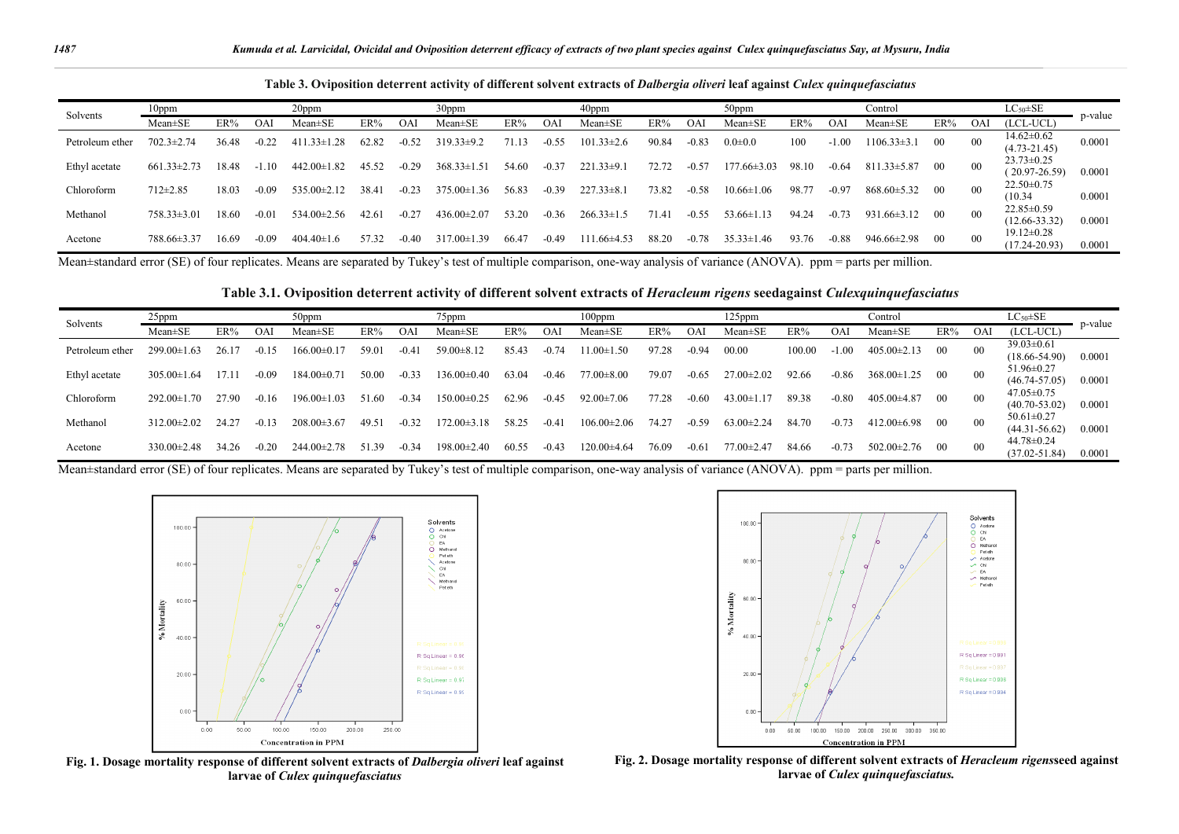| Solvents        | 20ppm<br>$10$ ppm |       |                |                   | 30ppm |           |                   | 40ppm<br>50ppm |            |                    | Control |         |                      |       |         | $LC_{50} \pm SE$  |        |        |                                       |         |
|-----------------|-------------------|-------|----------------|-------------------|-------|-----------|-------------------|----------------|------------|--------------------|---------|---------|----------------------|-------|---------|-------------------|--------|--------|---------------------------------------|---------|
|                 | $Mean \pm SE$     | ER%   | <b>OAI</b>     | Mean±SE           | ER%   | <b>OA</b> | Mean±SE           | ER%            | <b>OAI</b> | $Mean \pm SE$      | ER%     | ΟA.     | Mean±SE              | ER%   | OAI     | Mean±SE           | ER%    | OAl    | (LCL-UCL)                             | p-value |
| Petroleum ether | $702.3 \pm 2.74$  | 36.48 | $-0.22$        | $411.33 \pm 1.28$ | 62.82 | $-0.52$   | $319.33 \pm 9.2$  | 71.13          | $-0.55$    | 101<br>$33\pm2.6$  | 90.84   | $-0.83$ | $0.0 + 0.0$          | 100   | .00     | $106.33 \pm 3.1$  | $00\,$ | $00\,$ | $14.62 \pm 0.62$<br>$(4.73 - 21.45)$  | 0.0001  |
| Ethyl acetate   | $661.33 \pm 2.73$ | 18.48 |                | $442.00 \pm 1.82$ | 45.52 | $-0.29$   | $368.33 \pm 1.51$ | 54.60          | $-0.37$    | 221<br>$.33\pm9.$  | 72.72   | $-0.57$ | 77.66±3.03           | 98.10 | -0.64   | $811.33 \pm 5.87$ | $00\,$ | $00\,$ | $23.73 \pm 0.25$<br>$(20.97 - 26.59)$ | 0.0001  |
| Chloroform      | $712 \pm 2.85$    | 18.03 | $-0.09$        | $535.00 \pm 2.12$ | 38.41 | $-0.23$   | $375.00 \pm 1.36$ | 56.83          | $-0.39$    | $227.33 \pm 8$ .   | 73.82   | $-0.58$ | .06<br>$10.66 \pm 1$ | 98.77 | $-0.97$ | $868.60 \pm 5.32$ | $00\,$ | $00\,$ | $22.50 \pm 0.75$<br>(10.34)           | 0.0001  |
| Methanol        | $758.33 \pm 3.01$ | 18.60 | $-0.0^{\circ}$ | $534.00 \pm 2.56$ | 42.61 | $-0.27$   | $436.00 \pm 2.07$ | 53.20          | $-0.36$    | $266.33 \pm 1.5$   | 71.41   | -0.55   | 53.66 $\pm$          | 94.24 | $-0.73$ | $931.66 \pm 3.12$ | $00\,$ | $00\,$ | $22.85 \pm 0.59$<br>$(12.66 - 33.32)$ | 0.0001  |
| Acetone         | 788.66±3.37       | 16.69 | -0.09          | $404.40 \pm 1.6$  | 57.32 | -0.40     | $317.00 \pm 1.39$ | 66.47          | $-0.49$    | Ш<br>$1.66\pm4.53$ | 88.20   | $-0.78$ | $35.33 \pm 1.46$     | 93.76 | $-0.88$ | 946.66±2.98       | $00\,$ | $00\,$ | $19.12 \pm 0.28$<br>$(17.24 - 20.93)$ | 0.0001  |

**Table 3. Oviposition deterrent activity of different solvent extracts of** *Dalbergia oliveri* **leaf against** *Culex quinquefasciatus*

Mean±standard error (SE) of four replicates. Means are separated by Tukey's test of multiple comparison, one-way analysis of variance (ANOVA). ppm = parts per million.

**Table 3.1. Oviposition deterrent activity of different solvent extracts of** *Heracleum rigens* **seedagainst** *Culexquinquefasciatus*

| Solvents        | $25$ ppm<br>50ppm |       |         |                   | 75ppm |         |                   | $100$ ppm |            |                   | $125$ ppm |                 |                  |        | Control |                   |        | $LC_{50} \pm SE$ |                                       |         |
|-----------------|-------------------|-------|---------|-------------------|-------|---------|-------------------|-----------|------------|-------------------|-----------|-----------------|------------------|--------|---------|-------------------|--------|------------------|---------------------------------------|---------|
|                 | $Mean \pm SE$     | ER%   | OA.     | $Mean \pm SE$     | ER%   | OA.     | $Mean \pm SE$     | ER%       | <b>OAI</b> | $Mean \pm SE$     | ER%       | OA <sup>®</sup> | $Mean \pm SE$    | ER%    | OAl     | Mean±SE           | ER%    | OA               | $(LCL-UCL)$                           | p-value |
| Petroleum ether | 299.00±1.63       | 26. I |         | $166.00 \pm 0.1$  | 59.01 | $-0.4$  | $59.00 \pm 8.12$  | 85.43     | 0.74       | $0+1.50$          | 97.28     | $-0.94$         | 00.00            | 100.00 | $-1.00$ | 405.00±2.13       | $00\,$ | 00               | $39.03 \pm 0.61$<br>$(18.66 - 54.90)$ | 0.0001  |
| Ethyl acetate   | $305.00 \pm 1.64$ |       | $-0.09$ | $184.00 \pm 0.7$  | 50.OC | $-0.33$ | 136.00±0<br>(40)  | 63.04     | $-0.46$    | $77.00 \pm 8.00$  | 79.07     | $-0.65$         | $27.00 \pm 2.02$ | 92.66  | $-0.86$ | $368.00 \pm 1.25$ | $00\,$ | - 00             | $51.96 \pm 0.27$<br>$(46.74 - 57.05)$ | 0.0001  |
| Chloroform      | $292.00 \pm 1.$   | 47.9C | $-0.16$ | $196.00 \pm 1.03$ | 51.60 | $-0.34$ | $150.00 \pm C$    | 62.96     | $-0.45$    | $92.00 \pm 7.06$  | 77.28     | -0.60           | $43.00 \pm 1$    | 89.38  | $-0.80$ | $405.00\pm4.87$   | $00\,$ | $_{00}$          | $47.05 \pm 0.75$<br>$(40.70 - 53.02)$ | 0.0001  |
| Methanol        | $312.00 \pm 2.02$ | 24.27 | $-0.13$ | 208.00±3.67       | 49.5  | $-0.32$ | 172.00±3<br>18    | 58.25     | $-0.41$    | $106.00 \pm 2.06$ | 74.27     | -0.59           | $63.00 \pm 2.24$ | 84.70  | $-0.73$ | $412.00 \pm 6.98$ | $00\,$ | $_{00}$          | $50.61 \pm 0.27$<br>$(44.31 - 56.62)$ | 0.0001  |
| Acetone         | $330.00 \pm 2.48$ | 34.26 | $-0.20$ | $244.00 \pm 2$ .  | 51.39 | $-0.34$ | $198.00 \pm 2.40$ | 60.55     | $-0.43$    | $120.00\pm4.64$   | 76.09     | $-0.6^{\circ}$  | $77.00 \pm 2.47$ | 84.66  | $-0.73$ | $502.00 \pm 2.76$ | -00    | - 00             | 44.78±0.24<br>$(37.02 - 51.84)$       | 0.0001  |

Mean±standard error (SE) of four replicates. Means are separated by Tukey's test of multiple comparison, one-way analysis of variance (ANOVA). ppm = parts per million.



**Fig. 1. Dosage mortality response of different solvent extracts of** *Dalbergia oliveri* **leaf against larvae of** *Culex quinquefasciatus*



**Fig. 2. Dosage mortality response of different solvent extracts of** *Heracleum rigens***seed against larvae of** *Culex quinquefasciatus.*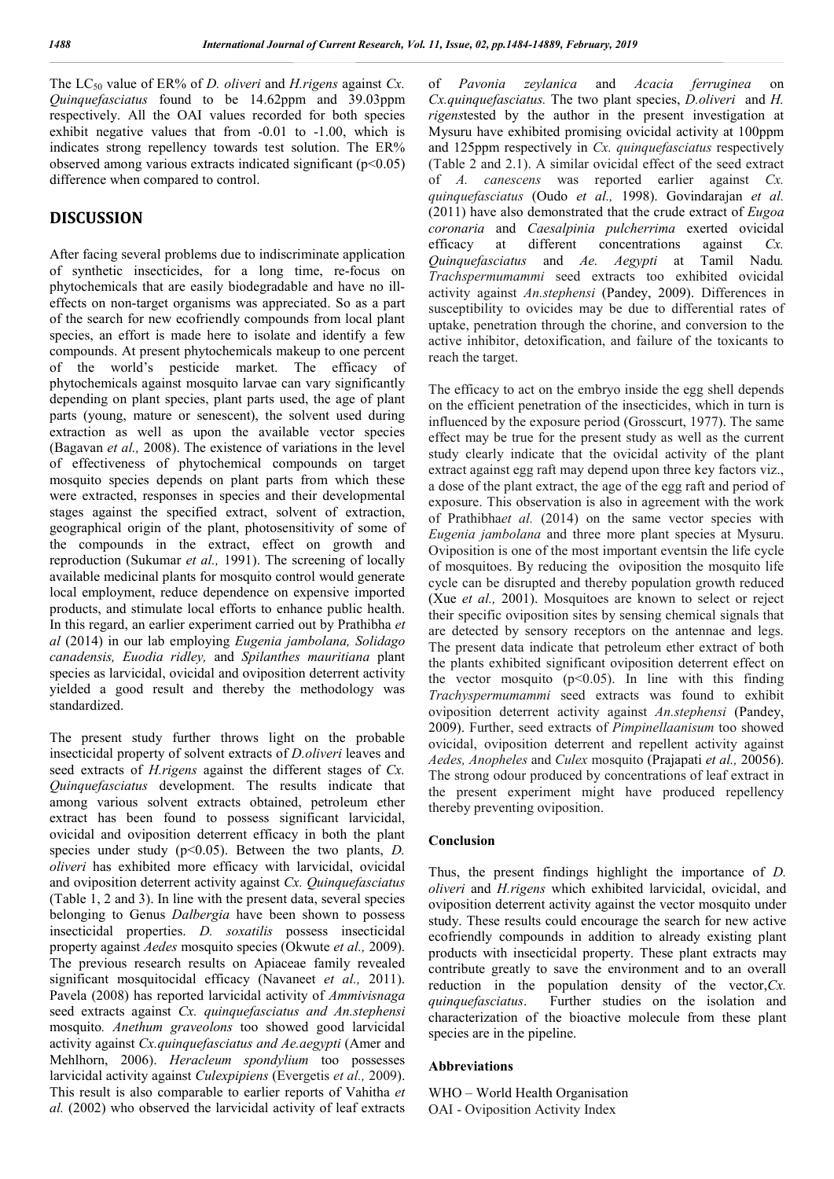The LC<sub>50</sub> value of ER% of *D. oliveri* and *H.rigens* against *Cx. Quinquefasciatus* found to be 14.62ppm and 39.03ppm respectively. All the OAI values recorded for both species exhibit negative values that from -0.01 to -1.00, which is indicates strong repellency towards test solution. The ER% observed among various extracts indicated significant  $(p<0.05)$ difference when compared to control.

## **DISCUSSION**

After facing several problems due to indiscriminate application of synthetic insecticides, for a long time, re-focus on phytochemicals that are easily biodegradable and have no illeffects on non-target organisms was appreciated. So as a part of the search for new ecofriendly compounds from local plant species, an effort is made here to isolate and identify a few compounds. At present phytochemicals makeup to one percent of the world's pesticide market. The efficacy of phytochemicals against mosquito larvae can vary significantly depending on plant species, plant parts used, the age of plant parts (young, mature or senescent), the solvent used during extraction as well as upon the available vector species (Bagavan *et al.,* 2008). The existence of variations in the level of effectiveness of phytochemical compounds on target mosquito species depends on plant parts from which these were extracted, responses in species and their developmental stages against the specified extract, solvent of extraction, geographical origin of the plant, photosensitivity of some of the compounds in the extract, effect on growth and reproduction (Sukumar *et al.,* 1991). The screening of locally available medicinal plants for mosquito control would generate local employment, reduce dependence on expensive imported products, and stimulate local efforts to enhance public health. In this regard, an earlier experiment carried out by Prathibha *et al* (2014) in our lab employing *Eugenia jambolana, Solidago canadensis, Euodia ridley,* and *Spilanthes mauritiana* plant species as larvicidal, ovicidal and oviposition deterrent activity yielded a good result and thereby the methodology was standardized.

The present study further throws light on the probable insecticidal property of solvent extracts of *D.oliveri* leaves and seed extracts of *H.rigens* against the different stages of *Cx. Quinquefasciatus* development. The results indicate that among various solvent extracts obtained, petroleum ether extract has been found to possess significant larvicidal, ovicidal and oviposition deterrent efficacy in both the plant species under study (p<0.05). Between the two plants, *D*. *oliveri* has exhibited more efficacy with larvicidal, ovicidal and oviposition deterrent activity against *Cx. Quinquefasciatus* (Table 1, 2 and 3). In line with the present data, several species belonging to Genus *Dalbergia* have been shown to possess insecticidal properties. *D. soxatilis* possess insecticidal property against *Aedes* mosquito species (Okwute *et al.,* 2009). The previous research results on Apiaceae family revealed significant mosquitocidal efficacy (Navaneet *et al.,* 2011). Pavela (2008) has reported larvicidal activity of *Ammivisnaga* seed extracts against *Cx. quinquefasciatus and An.stephensi* mosquito*. Anethum graveolons* too showed good larvicidal activity against *Cx.quinquefasciatus and Ae.aegypti* (Amer and Mehlhorn, 2006). *Heracleum spondylium* too possesses larvicidal activity against *Culexpipiens* (Evergetis *et al.,* 2009). This result is also comparable to earlier reports of Vahitha *et al.* (2002) who observed the larvicidal activity of leaf extracts

of *Pavonia zeylanica* and *Acacia ferruginea* on *Cx.quinquefasciatus.* The two plant species, *D.oliveri* and *H. rigenstested* by the author in the present investigation at Mysuru have exhibited promising ovicidal activity at 100ppm and 125ppm respectively in *Cx. quinquefasciatus* respectively (Table 2 and 2.1). A similar ovicidal effect of the seed extract of *A. canescens* was reported earlier against *Cx. quinquefasciatus* (Oudo *et al.,* 1998). Govindarajan *et al.*  (2011) have also demonstrated that the crude extract of *Eugoa coronaria* and *Caesalpinia pulcherrima* exerted ovicidal efficacy at different concentrations against Cx. efficacy at different concentrations against *Cx. Quinquefasciatus* and *Ae. Aegypti* at Tamil Nadu*. Trachspermumammi* seed extracts too exhibited ovicidal activity against *An.stephensi* (Pandey, 2009). Differences in susceptibility to ovicides may be due to differential rates of uptake, penetration through the chorine, and conversion to the active inhibitor, detoxification, and failure of the toxicants to reach the target.

The efficacy to act on the embryo inside the egg shell depends on the efficient penetration of the insecticides, which in turn is influenced by the exposure period (Grosscurt, 1977). The same effect may be true for the present study as well as the current study clearly indicate that the ovicidal activity of the plant extract against egg raft may depend upon three key factors viz., a dose of the plant extract, the age of the egg raft and period of exposure. This observation is also in agreement with the work of Prathibha*et al.* (2014) on the same vector species with *Eugenia jambolana* and three more plant species at Mysuru. Oviposition is one of the most important eventsin the life cycle of mosquitoes. By reducing the oviposition the mosquito life cycle can be disrupted and thereby population growth reduced (Xue *et al.,* 2001). Mosquitoes are known to select or reject their specific oviposition sites by sensing chemical signals that are detected by sensory receptors on the antennae and legs. The present data indicate that petroleum ether extract of both the plants exhibited significant oviposition deterrent effect on the vector mosquito  $(p<0.05)$ . In line with this finding *Trachyspermumammi* seed extracts was found to exhibit oviposition deterrent activity against *An.stephensi* (Pandey, 2009). Further, seed extracts of *Pimpinellaanisum* too showed ovicidal, oviposition deterrent and repellent activity against *Aedes, Anopheles* and *Culex* mosquito (Prajapati *et al.,* 20056). The strong odour produced by concentrations of leaf extract in the present experiment might have produced repellency thereby preventing oviposition.

### **Conclusion**

Thus, the present findings highlight the importance of *D. oliveri* and *H.rigens* which exhibited larvicidal, ovicidal, and oviposition deterrent activity against the vector mosquito under study. These results could encourage the search for new active ecofriendly compounds in addition to already existing plant products with insecticidal property. These plant extracts may contribute greatly to save the environment and to an overall reduction in the population density of the vector,*Cx. quinquefasciatus*. Further studies on the isolation and characterization of the bioactive molecule from these plant species are in the pipeline.

#### **Abbreviations**

WHO – World Health Organisation OAI - Oviposition Activity Index